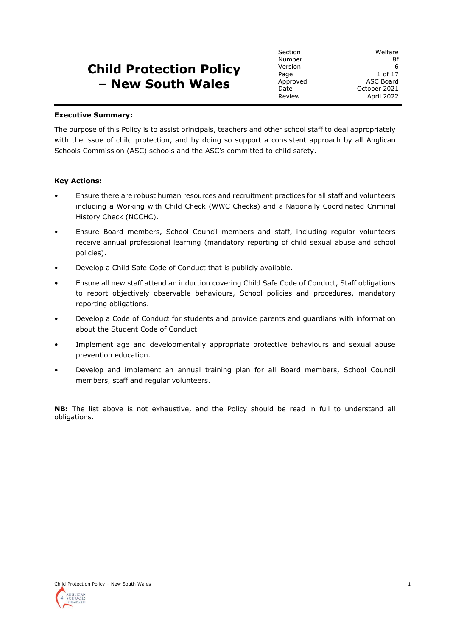# **Child Protection Policy – New South Wales**

Section Welfare Number 8f Version 6 Page 1 of 17 Approved ASC Board Date October 2021 Review April 2022

#### **Executive Summary:**

The purpose of this Policy is to assist principals, teachers and other school staff to deal appropriately with the issue of child protection, and by doing so support a consistent approach by all Anglican Schools Commission (ASC) schools and the ASC's committed to child safety.

#### **Key Actions:**

- Ensure there are robust human resources and recruitment practices for all staff and volunteers including a Working with Child Check (WWC Checks) and a Nationally Coordinated Criminal History Check (NCCHC).
- Ensure Board members, School Council members and staff, including regular volunteers receive annual professional learning (mandatory reporting of child sexual abuse and school policies).
- Develop a Child Safe Code of Conduct that is publicly available.
- Ensure all new staff attend an induction covering Child Safe Code of Conduct, Staff obligations to report objectively observable behaviours, School policies and procedures, mandatory reporting obligations.
- Develop a Code of Conduct for students and provide parents and guardians with information about the Student Code of Conduct.
- Implement age and developmentally appropriate protective behaviours and sexual abuse prevention education.
- Develop and implement an annual training plan for all Board members, School Council members, staff and regular volunteers.

**NB:** The list above is not exhaustive, and the Policy should be read in full to understand all obligations.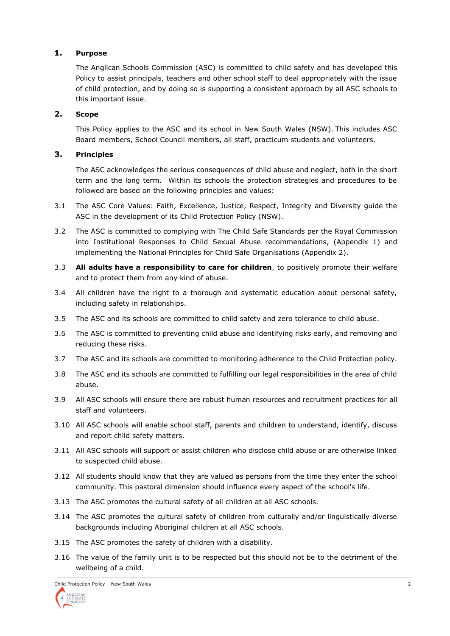## **1. Purpose**

The Anglican Schools Commission (ASC) is committed to child safety and has developed this Policy to assist principals, teachers and other school staff to deal appropriately with the issue of child protection, and by doing so is supporting a consistent approach by all ASC schools to this important issue.

# **2. Scope**

This Policy applies to the ASC and its school in New South Wales (NSW). This includes ASC Board members, School Council members, all staff, practicum students and volunteers.

# **3. Principles**

The ASC acknowledges the serious consequences of child abuse and neglect, both in the short term and the long term. Within its schools the protection strategies and procedures to be followed are based on the following principles and values:

- 3.1 The ASC Core Values: Faith, Excellence, Justice, Respect, Integrity and Diversity guide the ASC in the development of its Child Protection Policy (NSW).
- 3.2 The ASC is committed to complying with The Child Safe Standards per the Royal Commission into Institutional Responses to Child Sexual Abuse recommendations, (Appendix 1) and implementing the National Principles for Child Safe Organisations (Appendix 2).
- 3.3 **All adults have a responsibility to care for children**, to positively promote their welfare and to protect them from any kind of abuse.
- 3.4 All children have the right to a thorough and systematic education about personal safety, including safety in relationships.
- 3.5 The ASC and its schools are committed to child safety and zero tolerance to child abuse.
- 3.6 The ASC is committed to preventing child abuse and identifying risks early, and removing and reducing these risks.
- 3.7 The ASC and its schools are committed to monitoring adherence to the Child Protection policy.
- 3.8 The ASC and its schools are committed to fulfilling our legal responsibilities in the area of child abuse.
- 3.9 All ASC schools will ensure there are robust human resources and recruitment practices for all staff and volunteers.
- 3.10 All ASC schools will enable school staff, parents and children to understand, identify, discuss and report child safety matters.
- 3.11 All ASC schools will support or assist children who disclose child abuse or are otherwise linked to suspected child abuse.
- 3.12 All students should know that they are valued as persons from the time they enter the school community. This pastoral dimension should influence every aspect of the school's life.
- 3.13 The ASC promotes the cultural safety of all children at all ASC schools.
- 3.14 The ASC promotes the cultural safety of children from culturally and/or linguistically diverse backgrounds including Aboriginal children at all ASC schools.
- 3.15 The ASC promotes the safety of children with a disability.
- 3.16 The value of the family unit is to be respected but this should not be to the detriment of the wellbeing of a child.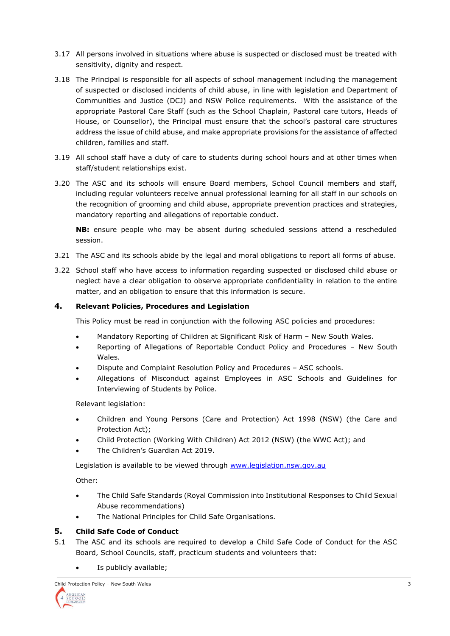- 3.17 All persons involved in situations where abuse is suspected or disclosed must be treated with sensitivity, dignity and respect.
- 3.18 The Principal is responsible for all aspects of school management including the management of suspected or disclosed incidents of child abuse, in line with legislation and Department of Communities and Justice (DCJ) and NSW Police requirements. With the assistance of the appropriate Pastoral Care Staff (such as the School Chaplain, Pastoral care tutors, Heads of House, or Counsellor), the Principal must ensure that the school's pastoral care structures address the issue of child abuse, and make appropriate provisions for the assistance of affected children, families and staff.
- 3.19 All school staff have a duty of care to students during school hours and at other times when staff/student relationships exist.
- 3.20 The ASC and its schools will ensure Board members, School Council members and staff, including regular volunteers receive annual professional learning for all staff in our schools on the recognition of grooming and child abuse, appropriate prevention practices and strategies, mandatory reporting and allegations of reportable conduct.

**NB:** ensure people who may be absent during scheduled sessions attend a rescheduled session.

- 3.21 The ASC and its schools abide by the legal and moral obligations to report all forms of abuse.
- 3.22 School staff who have access to information regarding suspected or disclosed child abuse or neglect have a clear obligation to observe appropriate confidentiality in relation to the entire matter, and an obligation to ensure that this information is secure.

## **4. Relevant Policies, Procedures and Legislation**

This Policy must be read in conjunction with the following ASC policies and procedures:

- Mandatory Reporting of Children at Significant Risk of Harm New South Wales.
- Reporting of Allegations of Reportable Conduct Policy and Procedures New South Wales.
- Dispute and Complaint Resolution Policy and Procedures ASC schools.
- Allegations of Misconduct against Employees in ASC Schools and Guidelines for Interviewing of Students by Police.

Relevant legislation:

- Children and Young Persons (Care and Protection) Act 1998 (NSW) (the Care and Protection Act);
- Child Protection (Working With Children) Act 2012 (NSW) (the WWC Act); and
- The Children's Guardian Act 2019.

Legislation is available to be viewed through [www.legislation.nsw.gov.au](http://www.legislation.nsw.gov.au/)

Other:

- The Child Safe Standards (Royal Commission into Institutional Responses to Child Sexual Abuse recommendations)
- The National Principles for Child Safe Organisations.

#### **5. Child Safe Code of Conduct**

- 5.1 The ASC and its schools are required to develop a Child Safe Code of Conduct for the ASC Board, School Councils, staff, practicum students and volunteers that:
	- Is publicly available;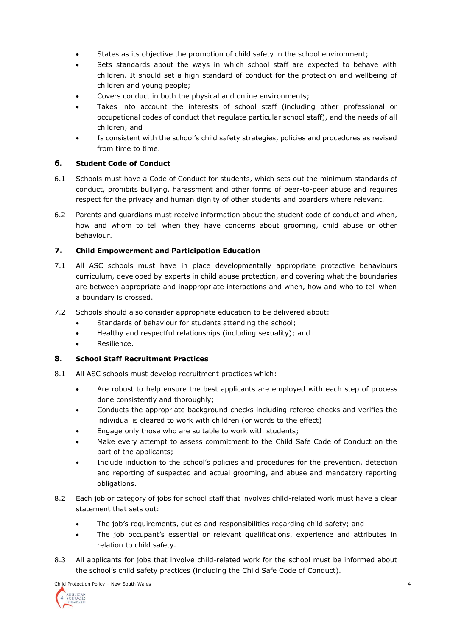- States as its objective the promotion of child safety in the school environment;
- Sets standards about the ways in which school staff are expected to behave with children. It should set a high standard of conduct for the protection and wellbeing of children and young people;
- Covers conduct in both the physical and online environments;
- Takes into account the interests of school staff (including other professional or occupational codes of conduct that regulate particular school staff), and the needs of all children; and
- Is consistent with the school's child safety strategies, policies and procedures as revised from time to time.

## **6. Student Code of Conduct**

- 6.1 Schools must have a Code of Conduct for students, which sets out the minimum standards of conduct, prohibits bullying, harassment and other forms of peer-to-peer abuse and requires respect for the privacy and human dignity of other students and boarders where relevant.
- 6.2 Parents and guardians must receive information about the student code of conduct and when, how and whom to tell when they have concerns about grooming, child abuse or other behaviour.

# **7. Child Empowerment and Participation Education**

- 7.1 All ASC schools must have in place developmentally appropriate protective behaviours curriculum, developed by experts in child abuse protection, and covering what the boundaries are between appropriate and inappropriate interactions and when, how and who to tell when a boundary is crossed.
- 7.2 Schools should also consider appropriate education to be delivered about:
	- Standards of behaviour for students attending the school;
	- Healthy and respectful relationships (including sexuality); and
	- Resilience.

## **8. School Staff Recruitment Practices**

- 8.1 All ASC schools must develop recruitment practices which:
	- Are robust to help ensure the best applicants are employed with each step of process done consistently and thoroughly;
	- Conducts the appropriate background checks including referee checks and verifies the individual is cleared to work with children (or words to the effect)
	- Engage only those who are suitable to work with students;
	- Make every attempt to assess commitment to the Child Safe Code of Conduct on the part of the applicants;
	- Include induction to the school's policies and procedures for the prevention, detection and reporting of suspected and actual grooming, and abuse and mandatory reporting obligations.
- 8.2 Each job or category of jobs for school staff that involves child-related work must have a clear statement that sets out:
	- The job's requirements, duties and responsibilities regarding child safety; and
	- The job occupant's essential or relevant qualifications, experience and attributes in relation to child safety.
- 8.3 All applicants for jobs that involve child-related work for the school must be informed about the school's child safety practices (including the Child Safe Code of Conduct).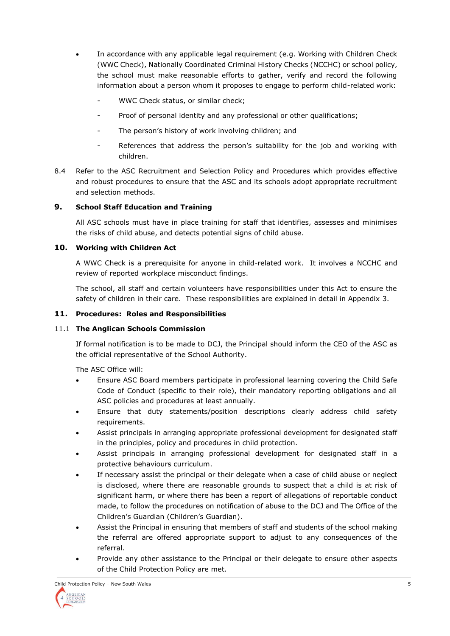- In accordance with any applicable legal requirement (e.g. Working with Children Check (WWC Check), Nationally Coordinated Criminal History Checks (NCCHC) or school policy, the school must make reasonable efforts to gather, verify and record the following information about a person whom it proposes to engage to perform child-related work:
	- WWC Check status, or similar check;
	- Proof of personal identity and any professional or other qualifications;
	- The person's history of work involving children; and
	- References that address the person's suitability for the job and working with children.
- 8.4 Refer to the ASC Recruitment and Selection Policy and Procedures which provides effective and robust procedures to ensure that the ASC and its schools adopt appropriate recruitment and selection methods.

# **9. School Staff Education and Training**

All ASC schools must have in place training for staff that identifies, assesses and minimises the risks of child abuse, and detects potential signs of child abuse.

## **10. Working with Children Act**

A WWC Check is a prerequisite for anyone in child-related work. It involves a NCCHC and review of reported workplace misconduct findings.

The school, all staff and certain volunteers have responsibilities under this Act to ensure the safety of children in their care. These responsibilities are explained in detail in Appendix 3.

## **11. Procedures: Roles and Responsibilities**

## 11.1 **The Anglican Schools Commission**

If formal notification is to be made to DCJ, the Principal should inform the CEO of the ASC as the official representative of the School Authority.

The ASC Office will:

- Ensure ASC Board members participate in professional learning covering the Child Safe Code of Conduct (specific to their role), their mandatory reporting obligations and all ASC policies and procedures at least annually.
- Ensure that duty statements/position descriptions clearly address child safety requirements.
- Assist principals in arranging appropriate professional development for designated staff in the principles, policy and procedures in child protection.
- Assist principals in arranging professional development for designated staff in a protective behaviours curriculum.
- If necessary assist the principal or their delegate when a case of child abuse or neglect is disclosed, where there are reasonable grounds to suspect that a child is at risk of significant harm, or where there has been a report of allegations of reportable conduct made, to follow the procedures on notification of abuse to the DCJ and The Office of the Children's Guardian (Children's Guardian).
- Assist the Principal in ensuring that members of staff and students of the school making the referral are offered appropriate support to adjust to any consequences of the referral.
- Provide any other assistance to the Principal or their delegate to ensure other aspects of the Child Protection Policy are met.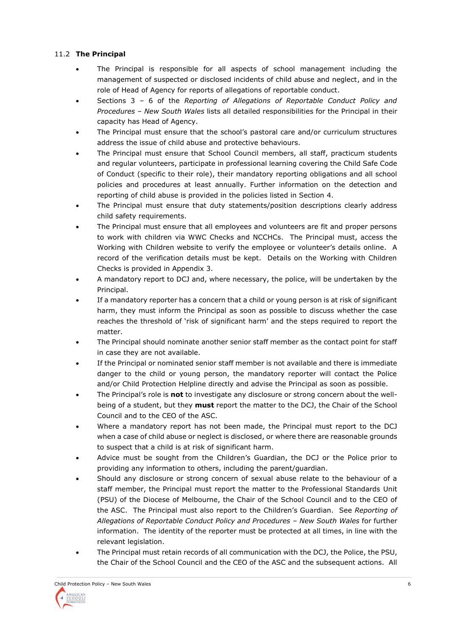# 11.2 **The Principal**

- The Principal is responsible for all aspects of school management including the management of suspected or disclosed incidents of child abuse and neglect, and in the role of Head of Agency for reports of allegations of reportable conduct.
- Sections 3 6 of the *Reporting of Allegations of Reportable Conduct Policy and Procedures – New South Wales* lists all detailed responsibilities for the Principal in their capacity has Head of Agency.
- The Principal must ensure that the school's pastoral care and/or curriculum structures address the issue of child abuse and protective behaviours.
- The Principal must ensure that School Council members, all staff, practicum students and regular volunteers, participate in professional learning covering the Child Safe Code of Conduct (specific to their role), their mandatory reporting obligations and all school policies and procedures at least annually. Further information on the detection and reporting of child abuse is provided in the policies listed in Section 4.
- The Principal must ensure that duty statements/position descriptions clearly address child safety requirements.
- The Principal must ensure that all employees and volunteers are fit and proper persons to work with children via WWC Checks and NCCHCs. The Principal must, access the Working with Children website to verify the employee or volunteer's details online. A record of the verification details must be kept. Details on the Working with Children Checks is provided in Appendix 3.
- A mandatory report to DCJ and, where necessary, the police, will be undertaken by the Principal.
- If a mandatory reporter has a concern that a child or young person is at risk of significant harm, they must inform the Principal as soon as possible to discuss whether the case reaches the threshold of 'risk of significant harm' and the steps required to report the matter.
- The Principal should nominate another senior staff member as the contact point for staff in case they are not available.
- If the Principal or nominated senior staff member is not available and there is immediate danger to the child or young person, the mandatory reporter will contact the Police and/or Child Protection Helpline directly and advise the Principal as soon as possible.
- The Principal's role is **not** to investigate any disclosure or strong concern about the wellbeing of a student, but they **must** report the matter to the DCJ, the Chair of the School Council and to the CEO of the ASC.
- Where a mandatory report has not been made, the Principal must report to the DCJ when a case of child abuse or neglect is disclosed, or where there are reasonable grounds to suspect that a child is at risk of significant harm.
- Advice must be sought from the Children's Guardian, the DCJ or the Police prior to providing any information to others, including the parent/guardian.
- Should any disclosure or strong concern of sexual abuse relate to the behaviour of a staff member, the Principal must report the matter to the Professional Standards Unit (PSU) of the Diocese of Melbourne, the Chair of the School Council and to the CEO of the ASC. The Principal must also report to the Children's Guardian. See *Reporting of Allegations of Reportable Conduct Policy and Procedures – New South Wales* for further information. The identity of the reporter must be protected at all times, in line with the relevant legislation.
- The Principal must retain records of all communication with the DCJ, the Police, the PSU, the Chair of the School Council and the CEO of the ASC and the subsequent actions. All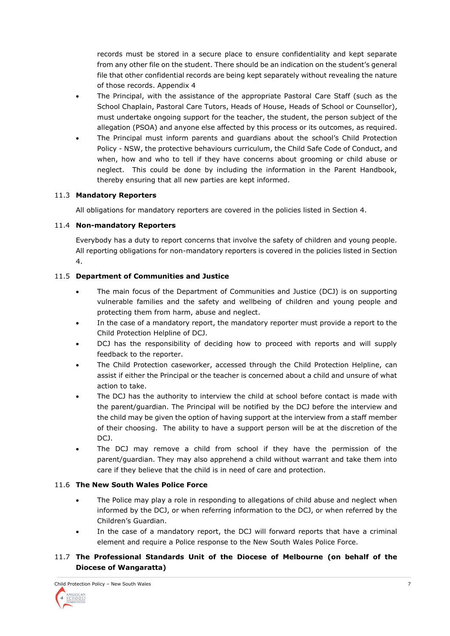records must be stored in a secure place to ensure confidentiality and kept separate from any other file on the student. There should be an indication on the student's general file that other confidential records are being kept separately without revealing the nature of those records. Appendix 4

- The Principal, with the assistance of the appropriate Pastoral Care Staff (such as the School Chaplain, Pastoral Care Tutors, Heads of House, Heads of School or Counsellor), must undertake ongoing support for the teacher, the student, the person subject of the allegation (PSOA) and anyone else affected by this process or its outcomes, as required.
- The Principal must inform parents and guardians about the school's Child Protection Policy - NSW, the protective behaviours curriculum, the Child Safe Code of Conduct, and when, how and who to tell if they have concerns about grooming or child abuse or neglect. This could be done by including the information in the Parent Handbook, thereby ensuring that all new parties are kept informed.

## 11.3 **Mandatory Reporters**

All obligations for mandatory reporters are covered in the policies listed in Section 4.

# 11.4 **Non-mandatory Reporters**

Everybody has a duty to report concerns that involve the safety of children and young people. All reporting obligations for non-mandatory reporters is covered in the policies listed in Section 4.

# 11.5 **Department of Communities and Justice**

- The main focus of the Department of Communities and Justice (DCJ) is on supporting vulnerable families and the safety and wellbeing of children and young people and protecting them from harm, abuse and neglect.
- In the case of a mandatory report, the mandatory reporter must provide a report to the Child Protection Helpline of DCJ.
- DCJ has the responsibility of deciding how to proceed with reports and will supply feedback to the reporter.
- The Child Protection caseworker, accessed through the Child Protection Helpline, can assist if either the Principal or the teacher is concerned about a child and unsure of what action to take.
- The DCJ has the authority to interview the child at school before contact is made with the parent/guardian. The Principal will be notified by the DCJ before the interview and the child may be given the option of having support at the interview from a staff member of their choosing. The ability to have a support person will be at the discretion of the DCJ.
- The DCJ may remove a child from school if they have the permission of the parent/guardian. They may also apprehend a child without warrant and take them into care if they believe that the child is in need of care and protection.

# 11.6 **The New South Wales Police Force**

- The Police may play a role in responding to allegations of child abuse and neglect when informed by the DCJ, or when referring information to the DCJ, or when referred by the Children's Guardian.
- In the case of a mandatory report, the DCJ will forward reports that have a criminal element and require a Police response to the New South Wales Police Force.

# 11.7 **The Professional Standards Unit of the Diocese of Melbourne (on behalf of the Diocese of Wangaratta)**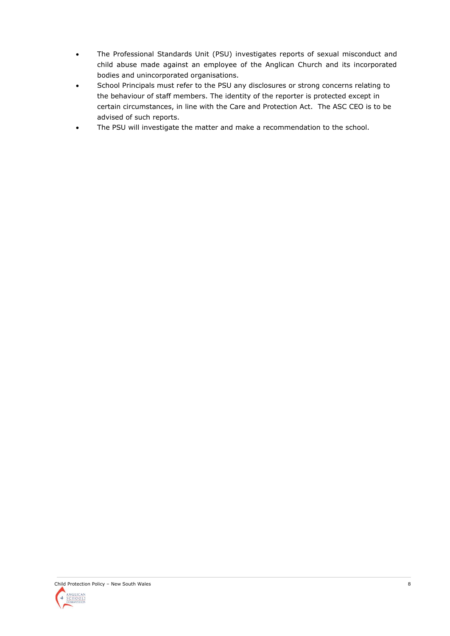- The Professional Standards Unit (PSU) investigates reports of sexual misconduct and child abuse made against an employee of the Anglican Church and its incorporated bodies and unincorporated organisations.
- School Principals must refer to the PSU any disclosures or strong concerns relating to the behaviour of staff members. The identity of the reporter is protected except in certain circumstances, in line with the Care and Protection Act. The ASC CEO is to be advised of such reports.
- The PSU will investigate the matter and make a recommendation to the school.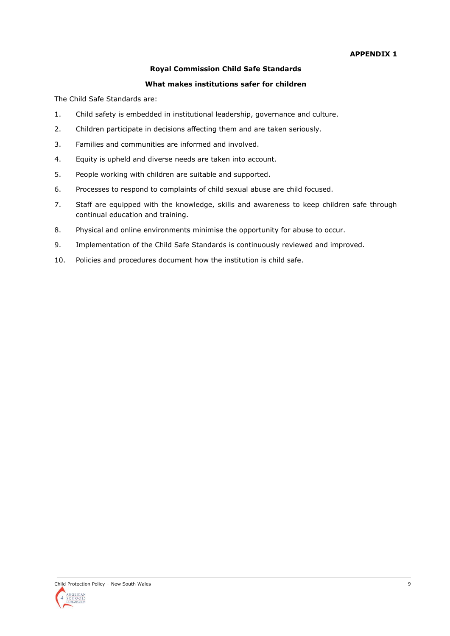#### **APPENDIX 1**

#### **Royal Commission Child Safe Standards**

#### **What makes institutions safer for children**

The Child Safe Standards are:

- 1. Child safety is embedded in institutional leadership, governance and culture.
- 2. Children participate in decisions affecting them and are taken seriously.
- 3. Families and communities are informed and involved.
- 4. Equity is upheld and diverse needs are taken into account.
- 5. People working with children are suitable and supported.
- 6. Processes to respond to complaints of child sexual abuse are child focused.
- 7. Staff are equipped with the knowledge, skills and awareness to keep children safe through continual education and training.
- 8. Physical and online environments minimise the opportunity for abuse to occur.
- 9. Implementation of the Child Safe Standards is continuously reviewed and improved.
- 10. Policies and procedures document how the institution is child safe.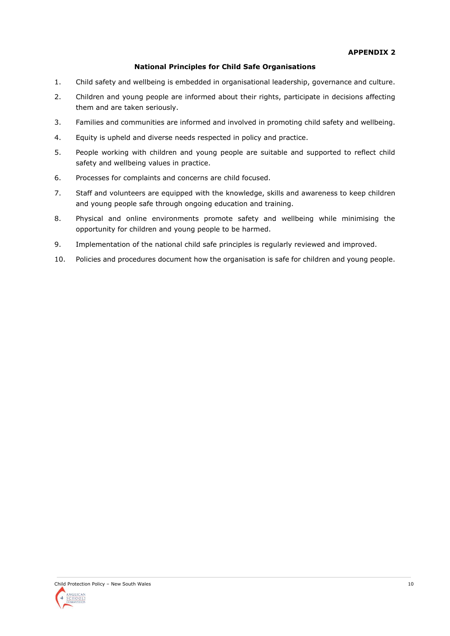#### **National Principles for Child Safe Organisations**

- 1. Child safety and wellbeing is embedded in organisational leadership, governance and culture.
- 2. Children and young people are informed about their rights, participate in decisions affecting them and are taken seriously.
- 3. Families and communities are informed and involved in promoting child safety and wellbeing.
- 4. Equity is upheld and diverse needs respected in policy and practice.
- 5. People working with children and young people are suitable and supported to reflect child safety and wellbeing values in practice.
- 6. Processes for complaints and concerns are child focused.
- 7. Staff and volunteers are equipped with the knowledge, skills and awareness to keep children and young people safe through ongoing education and training.
- 8. Physical and online environments promote safety and wellbeing while minimising the opportunity for children and young people to be harmed.
- 9. Implementation of the national child safe principles is regularly reviewed and improved.
- 10. Policies and procedures document how the organisation is safe for children and young people.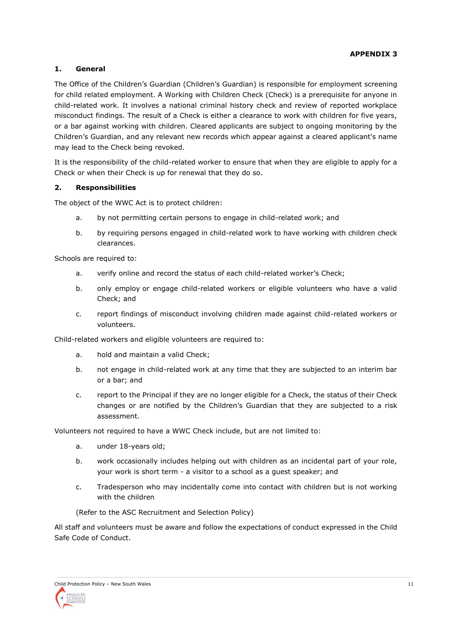## **1. General**

The Office of the Children's Guardian (Children's Guardian) is responsible for employment screening for child related employment. A Working with Children Check (Check) is a prerequisite for anyone in child-related work. It involves a national criminal history check and review of reported workplace misconduct findings. The result of a Check is either a clearance to work with children for five years, or a bar against working with children. Cleared applicants are subject to ongoing monitoring by the Children's Guardian, and any relevant new records which appear against a cleared applicant's name may lead to the Check being revoked.

It is the responsibility of the child-related worker to ensure that when they are eligible to apply for a Check or when their Check is up for renewal that they do so.

## **2. Responsibilities**

The object of the WWC Act is to protect children:

- a. by not permitting certain persons to engage in child-related work; and
- b. by requiring persons engaged in child-related work to have working with children check clearances.

Schools are required to:

- a. verify online and record the status of each child-related worker's Check;
- b. only employ or engage child-related workers or eligible volunteers who have a valid Check; and
- c. report findings of misconduct involving children made against child-related workers or volunteers.

Child-related workers and eligible volunteers are required to:

- a. hold and maintain a valid Check;
- b. not engage in child-related work at any time that they are subjected to an interim bar or a bar; and
- c. report to the Principal if they are no longer eligible for a Check, the status of their Check changes or are notified by the Children's Guardian that they are subjected to a risk assessment.

Volunteers not required to have a WWC Check include, but are not limited to:

- a. under 18-years old;
- b. work occasionally includes helping out with children as an incidental part of your role, your work is short term - a visitor to a school as a guest speaker; and
- c. Tradesperson who may incidentally come into contact with children but is not working with the children

(Refer to the ASC Recruitment and Selection Policy)

All staff and volunteers must be aware and follow the expectations of conduct expressed in the Child Safe Code of Conduct.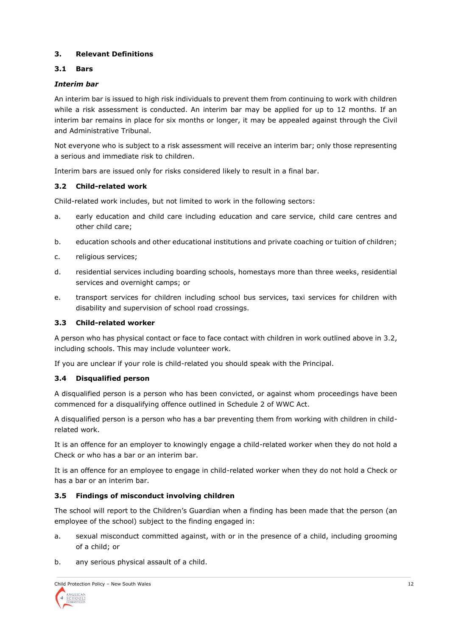## **3. Relevant Definitions**

## **3.1 Bars**

## *Interim bar*

An interim bar is issued to high risk individuals to prevent them from continuing to work with children while a risk assessment is conducted. An interim bar may be applied for up to 12 months. If an interim bar remains in place for six months or longer, it may be appealed against through the Civil and Administrative Tribunal.

Not everyone who is subject to a risk assessment will receive an interim bar; only those representing a serious and immediate risk to children.

Interim bars are issued only for risks considered likely to result in a final bar.

## **3.2 Child-related work**

Child-related work includes, but not limited to work in the following sectors:

- a. early education and child care including education and care service, child care centres and other child care;
- b. education schools and other educational institutions and private coaching or tuition of children;
- c. religious services;
- d. residential services including boarding schools, homestays more than three weeks, residential services and overnight camps; or
- e. transport services for children including school bus services, taxi services for children with disability and supervision of school road crossings.

#### **3.3 Child-related worker**

A person who has physical contact or face to face contact with children in work outlined above in 3.2, including schools. This may include volunteer work.

If you are unclear if your role is child-related you should speak with the Principal.

#### **3.4 Disqualified person**

A disqualified person is a person who has been convicted, or against whom proceedings have been commenced for a disqualifying offence outlined in Schedule 2 of WWC Act.

A disqualified person is a person who has a bar preventing them from working with children in childrelated work.

It is an offence for an employer to knowingly engage a child-related worker when they do not hold a Check or who has a bar or an interim bar.

It is an offence for an employee to engage in child-related worker when they do not hold a Check or has a bar or an interim bar.

## **3.5 Findings of misconduct involving children**

The school will report to the Children's Guardian when a finding has been made that the person (an employee of the school) subject to the finding engaged in:

- a. sexual misconduct committed against, with or in the presence of a child, including grooming of a child; or
- b. any serious physical assault of a child.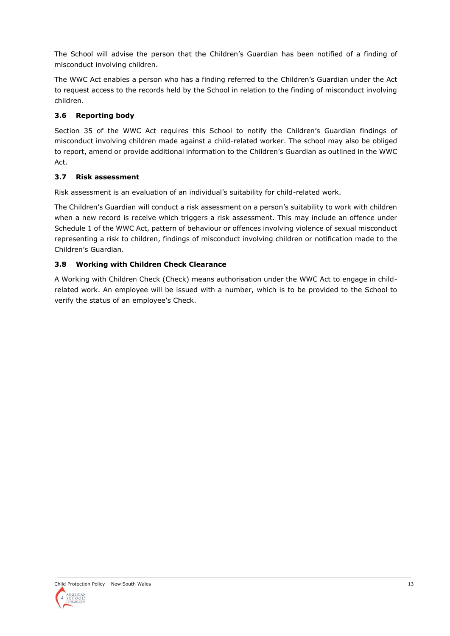The School will advise the person that the Children's Guardian has been notified of a finding of misconduct involving children.

The WWC Act enables a person who has a finding referred to the Children's Guardian under the Act to request access to the records held by the School in relation to the finding of misconduct involving children.

# **3.6 Reporting body**

Section 35 of the WWC Act requires this School to notify the Children's Guardian findings of misconduct involving children made against a child-related worker. The school may also be obliged to report, amend or provide additional information to the Children's Guardian as outlined in the WWC Act.

## **3.7 Risk assessment**

Risk assessment is an evaluation of an individual's suitability for child-related work.

The Children's Guardian will conduct a risk assessment on a person's suitability to work with children when a new record is receive which triggers a risk assessment. This may include an offence under Schedule 1 of the WWC Act, pattern of behaviour or offences involving violence of sexual misconduct representing a risk to children, findings of misconduct involving children or notification made to the Children's Guardian.

# **3.8 Working with Children Check Clearance**

A Working with Children Check (Check) means authorisation under the WWC Act to engage in childrelated work. An employee will be issued with a number, which is to be provided to the School to verify the status of an employee's Check.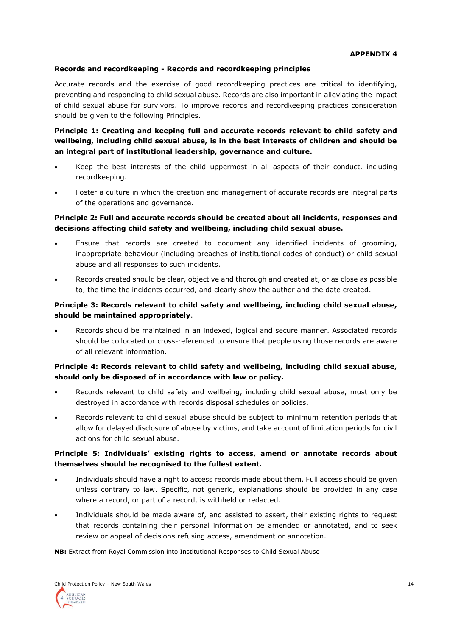#### **Records and recordkeeping - Records and recordkeeping principles**

Accurate records and the exercise of good recordkeeping practices are critical to identifying, preventing and responding to child sexual abuse. Records are also important in alleviating the impact of child sexual abuse for survivors. To improve records and recordkeeping practices consideration should be given to the following Principles.

## **Principle 1: Creating and keeping full and accurate records relevant to child safety and wellbeing, including child sexual abuse, is in the best interests of children and should be an integral part of institutional leadership, governance and culture.**

- Keep the best interests of the child uppermost in all aspects of their conduct, including recordkeeping.
- Foster a culture in which the creation and management of accurate records are integral parts of the operations and governance.

## **Principle 2: Full and accurate records should be created about all incidents, responses and decisions affecting child safety and wellbeing, including child sexual abuse.**

- Ensure that records are created to document any identified incidents of grooming, inappropriate behaviour (including breaches of institutional codes of conduct) or child sexual abuse and all responses to such incidents.
- Records created should be clear, objective and thorough and created at, or as close as possible to, the time the incidents occurred, and clearly show the author and the date created.

## **Principle 3: Records relevant to child safety and wellbeing, including child sexual abuse, should be maintained appropriately**.

• Records should be maintained in an indexed, logical and secure manner. Associated records should be collocated or cross-referenced to ensure that people using those records are aware of all relevant information.

## **Principle 4: Records relevant to child safety and wellbeing, including child sexual abuse, should only be disposed of in accordance with law or policy.**

- Records relevant to child safety and wellbeing, including child sexual abuse, must only be destroyed in accordance with records disposal schedules or policies.
- Records relevant to child sexual abuse should be subject to minimum retention periods that allow for delayed disclosure of abuse by victims, and take account of limitation periods for civil actions for child sexual abuse.

## **Principle 5: Individuals' existing rights to access, amend or annotate records about themselves should be recognised to the fullest extent.**

- Individuals should have a right to access records made about them. Full access should be given unless contrary to law. Specific, not generic, explanations should be provided in any case where a record, or part of a record, is withheld or redacted.
- Individuals should be made aware of, and assisted to assert, their existing rights to request that records containing their personal information be amended or annotated, and to seek review or appeal of decisions refusing access, amendment or annotation.

**NB:** Extract from Royal Commission into Institutional Responses to Child Sexual Abuse